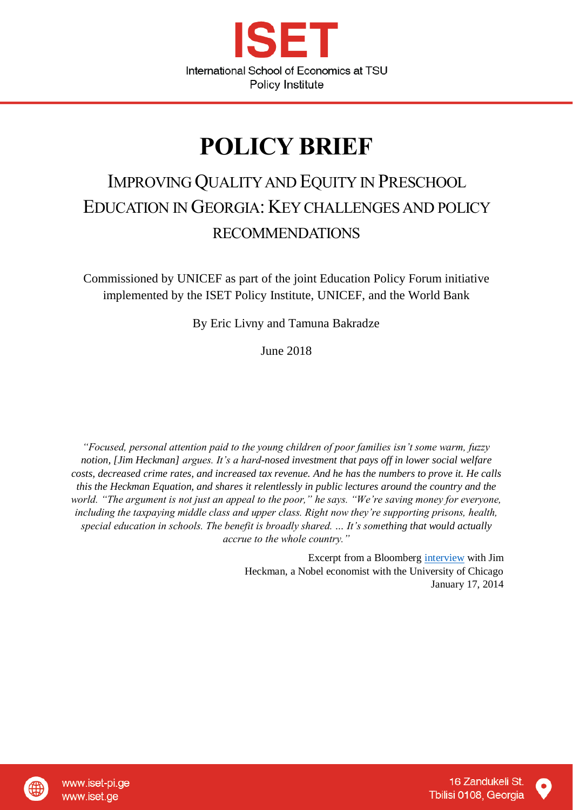

# **POLICY BRIEF**

## IMPROVING QUALITY AND EQUITY IN PRESCHOOL EDUCATION IN GEORGIA: KEY CHALLENGES AND POLICY RECOMMENDATIONS

Commissioned by UNICEF as part of the joint Education Policy Forum initiative implemented by the ISET Policy Institute, UNICEF, and the World Bank

By Eric Livny and Tamuna Bakradze

June 2018

*"Focused, personal attention paid to the young children of poor families isn't some warm, fuzzy notion, [Jim Heckman] argues. It's a hard-nosed investment that pays off in lower social welfare costs, decreased crime rates, and increased tax revenue. And he has the numbers to prove it. He calls this the Heckman Equation, and shares it relentlessly in public lectures around the country and the world. "The argument is not just an appeal to the poor," he says. "We're saving money for everyone, including the taxpaying middle class and upper class. Right now they're supporting prisons, health, special education in schools. The benefit is broadly shared. … It's something that would actually accrue to the whole country."*

> Excerpt from a Bloomberg [interview](https://www.bloomberg.com/news/articles/2014-01-16/the-heckman-equation-early-childhood-education-benefits-all) with Jim Heckman, a Nobel economist with the University of Chicago January 17, 2014

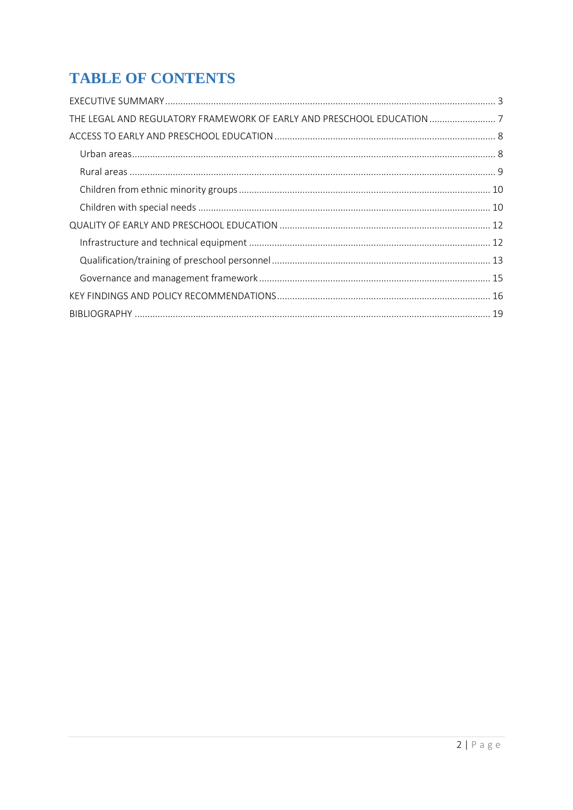## **TABLE OF CONTENTS**

| THE LEGAL AND REGULATORY FRAMEWORK OF EARLY AND PRESCHOOL EDUCATION  7 |  |
|------------------------------------------------------------------------|--|
|                                                                        |  |
|                                                                        |  |
|                                                                        |  |
|                                                                        |  |
|                                                                        |  |
|                                                                        |  |
|                                                                        |  |
|                                                                        |  |
|                                                                        |  |
|                                                                        |  |
|                                                                        |  |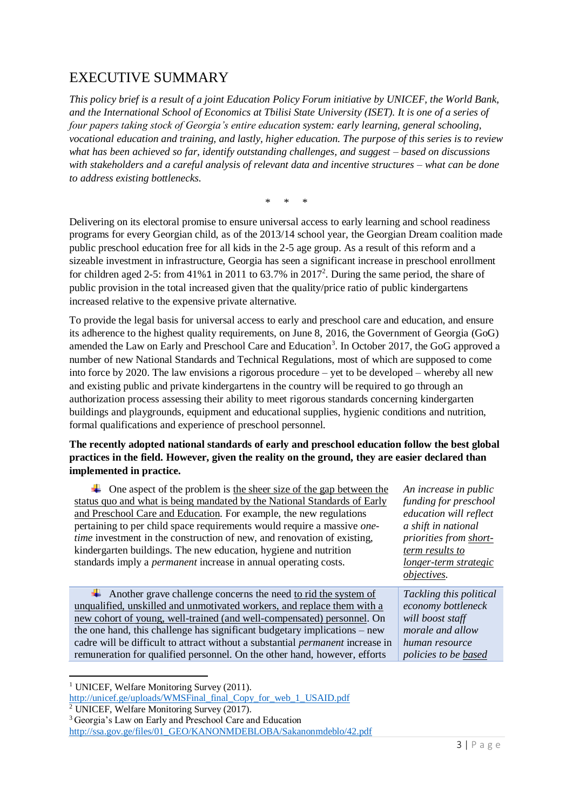## <span id="page-2-0"></span>EXECUTIVE SUMMARY

*This policy brief is a result of a joint Education Policy Forum initiative by UNICEF, the World Bank, and the International School of Economics at Tbilisi State University (ISET). It is one of a series of four papers taking stock of Georgia's entire education system: early learning, general schooling, vocational education and training, and lastly, higher education. The purpose of this series is to review what has been achieved so far, identify outstanding challenges, and suggest – based on discussions with stakeholders and a careful analysis of relevant data and incentive structures – what can be done to address existing bottlenecks.* 

\* \* \*

Delivering on its electoral promise to ensure universal access to early learning and school readiness programs for every Georgian child, as of the 2013/14 school year, the Georgian Dream coalition made public preschool education free for all kids in the 2-5 age group. As a result of this reform and a sizeable investment in infrastructure, Georgia has seen a significant increase in preschool enrollment for children aged 2-5: from  $41\%$ 1 in 2011 to 63.7% in 2017<sup>2</sup>. During the same period, the share of public provision in the total increased given that the quality/price ratio of public kindergartens increased relative to the expensive private alternative.

To provide the legal basis for universal access to early and preschool care and education, and ensure its adherence to the highest quality requirements, on June 8, 2016, the Government of Georgia (GoG) amended the Law on Early and Preschool Care and Education<sup>3</sup>. In October 2017, the GoG approved a number of new National Standards and Technical Regulations, most of which are supposed to come into force by 2020. The law envisions a rigorous procedure – yet to be developed – whereby all new and existing public and private kindergartens in the country will be required to go through an authorization process assessing their ability to meet rigorous standards concerning kindergarten buildings and playgrounds, equipment and educational supplies, hygienic conditions and nutrition, formal qualifications and experience of preschool personnel.

#### **The recently adopted national standards of early and preschool education follow the best global practices in the field. However, given the reality on the ground, they are easier declared than implemented in practice.**

| $\overline{\phantom{a}}$ One aspect of the problem is the sheer size of the gap between the | An increase in public   |
|---------------------------------------------------------------------------------------------|-------------------------|
| status quo and what is being mandated by the National Standards of Early                    | funding for preschool   |
| and Preschool Care and Education. For example, the new regulations                          | education will reflect  |
| pertaining to per child space requirements would require a massive <i>one</i> -             | a shift in national     |
| <i>time</i> investment in the construction of new, and renovation of existing,              | priorities from short-  |
| kindergarten buildings. The new education, hygiene and nutrition                            | term results to         |
| standards imply a <i>permanent</i> increase in annual operating costs.                      | longer-term strategic   |
|                                                                                             |                         |
|                                                                                             | <i>objectives.</i>      |
| Another grave challenge concerns the need to rid the system of                              | Tackling this political |
| unqualified, unskilled and unmotivated workers, and replace them with a                     | economy bottleneck      |
| new cohort of young, well-trained (and well-compensated) personnel. On                      | will boost staff        |
| the one hand, this challenge has significant budgetary implications – new                   | morale and allow        |
| cadre will be difficult to attract without a substantial <i>permanent</i> increase in       | human resource          |

<sup>&</sup>lt;sup>1</sup> UNICEF, Welfare Monitoring Survey (2011).

**.** 

[http://unicef.ge/uploads/WMSFinal\\_final\\_Copy\\_for\\_web\\_1\\_USAID.pdf](http://unicef.ge/uploads/WMSFinal_final_Copy_for_web_1_USAID.pdf)

<sup>2</sup> UNICEF, Welfare Monitoring Survey (2017).

<sup>3</sup> Georgia's Law on Early and Preschool Care and Education

[http://ssa.gov.ge/files/01\\_GEO/KANONMDEBLOBA/Sakanonmdeblo/42.pdf](http://ssa.gov.ge/files/01_GEO/KANONMDEBLOBA/Sakanonmdeblo/42.pdf)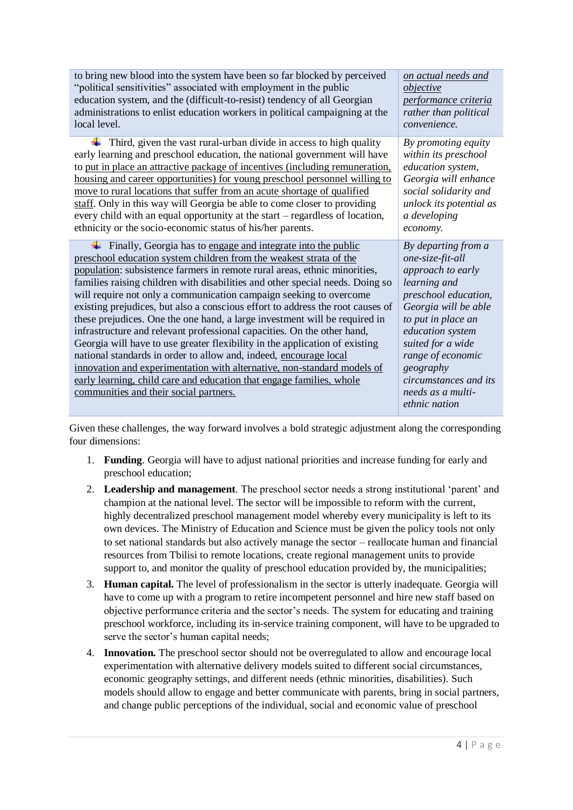| to bring new blood into the system have been so far blocked by perceived                                                                                                                                                                                                                                                                                                                                                                                                                                                                                                                                                                                                                                                                                                                                                                                                                                                                                           | on actual needs and                                                                                                                                                                                                                                                                                 |
|--------------------------------------------------------------------------------------------------------------------------------------------------------------------------------------------------------------------------------------------------------------------------------------------------------------------------------------------------------------------------------------------------------------------------------------------------------------------------------------------------------------------------------------------------------------------------------------------------------------------------------------------------------------------------------------------------------------------------------------------------------------------------------------------------------------------------------------------------------------------------------------------------------------------------------------------------------------------|-----------------------------------------------------------------------------------------------------------------------------------------------------------------------------------------------------------------------------------------------------------------------------------------------------|
| "political sensitivities" associated with employment in the public                                                                                                                                                                                                                                                                                                                                                                                                                                                                                                                                                                                                                                                                                                                                                                                                                                                                                                 | objective                                                                                                                                                                                                                                                                                           |
| education system, and the (difficult-to-resist) tendency of all Georgian                                                                                                                                                                                                                                                                                                                                                                                                                                                                                                                                                                                                                                                                                                                                                                                                                                                                                           | performance criteria                                                                                                                                                                                                                                                                                |
| administrations to enlist education workers in political campaigning at the                                                                                                                                                                                                                                                                                                                                                                                                                                                                                                                                                                                                                                                                                                                                                                                                                                                                                        | rather than political                                                                                                                                                                                                                                                                               |
| local level.                                                                                                                                                                                                                                                                                                                                                                                                                                                                                                                                                                                                                                                                                                                                                                                                                                                                                                                                                       | convenience.                                                                                                                                                                                                                                                                                        |
| Third, given the vast rural-urban divide in access to high quality                                                                                                                                                                                                                                                                                                                                                                                                                                                                                                                                                                                                                                                                                                                                                                                                                                                                                                 | By promoting equity                                                                                                                                                                                                                                                                                 |
| early learning and preschool education, the national government will have                                                                                                                                                                                                                                                                                                                                                                                                                                                                                                                                                                                                                                                                                                                                                                                                                                                                                          | within its preschool                                                                                                                                                                                                                                                                                |
| to put in place an attractive package of incentives (including remuneration,                                                                                                                                                                                                                                                                                                                                                                                                                                                                                                                                                                                                                                                                                                                                                                                                                                                                                       | education system,                                                                                                                                                                                                                                                                                   |
| housing and career opportunities) for young preschool personnel willing to                                                                                                                                                                                                                                                                                                                                                                                                                                                                                                                                                                                                                                                                                                                                                                                                                                                                                         | Georgia will enhance                                                                                                                                                                                                                                                                                |
| move to rural locations that suffer from an acute shortage of qualified                                                                                                                                                                                                                                                                                                                                                                                                                                                                                                                                                                                                                                                                                                                                                                                                                                                                                            | social solidarity and                                                                                                                                                                                                                                                                               |
| staff. Only in this way will Georgia be able to come closer to providing                                                                                                                                                                                                                                                                                                                                                                                                                                                                                                                                                                                                                                                                                                                                                                                                                                                                                           | unlock its potential as                                                                                                                                                                                                                                                                             |
| every child with an equal opportunity at the start – regardless of location,                                                                                                                                                                                                                                                                                                                                                                                                                                                                                                                                                                                                                                                                                                                                                                                                                                                                                       | a developing                                                                                                                                                                                                                                                                                        |
| ethnicity or the socio-economic status of his/her parents.                                                                                                                                                                                                                                                                                                                                                                                                                                                                                                                                                                                                                                                                                                                                                                                                                                                                                                         | economy.                                                                                                                                                                                                                                                                                            |
| Finally, Georgia has to engage and integrate into the public<br>preschool education system children from the weakest strata of the<br>population: subsistence farmers in remote rural areas, ethnic minorities,<br>families raising children with disabilities and other special needs. Doing so<br>will require not only a communication campaign seeking to overcome<br>existing prejudices, but also a conscious effort to address the root causes of<br>these prejudices. One the one hand, a large investment will be required in<br>infrastructure and relevant professional capacities. On the other hand,<br>Georgia will have to use greater flexibility in the application of existing<br>national standards in order to allow and, indeed, encourage local<br>innovation and experimentation with alternative, non-standard models of<br>early learning, child care and education that engage families, whole<br>communities and their social partners. | By departing from a<br>one-size-fit-all<br>approach to early<br>learning and<br>preschool education,<br>Georgia will be able<br>to put in place an<br>education system<br>suited for a wide<br>range of economic<br>geography<br>circumstances and its<br>needs as a multi-<br><i>ethnic nation</i> |

Given these challenges, the way forward involves a bold strategic adjustment along the corresponding four dimensions:

- 1. **Funding**. Georgia will have to adjust national priorities and increase funding for early and preschool education;
- 2. **Leadership and management**. The preschool sector needs a strong institutional 'parent' and champion at the national level. The sector will be impossible to reform with the current, highly decentralized preschool management model whereby every municipality is left to its own devices. The Ministry of Education and Science must be given the policy tools not only to set national standards but also actively manage the sector – reallocate human and financial resources from Tbilisi to remote locations, create regional management units to provide support to, and monitor the quality of preschool education provided by, the municipalities;
- 3. **Human capital.** The level of professionalism in the sector is utterly inadequate. Georgia will have to come up with a program to retire incompetent personnel and hire new staff based on objective performance criteria and the sector's needs. The system for educating and training preschool workforce, including its in-service training component, will have to be upgraded to serve the sector's human capital needs;
- 4. **Innovation.** The preschool sector should not be overregulated to allow and encourage local experimentation with alternative delivery models suited to different social circumstances, economic geography settings, and different needs (ethnic minorities, disabilities). Such models should allow to engage and better communicate with parents, bring in social partners, and change public perceptions of the individual, social and economic value of preschool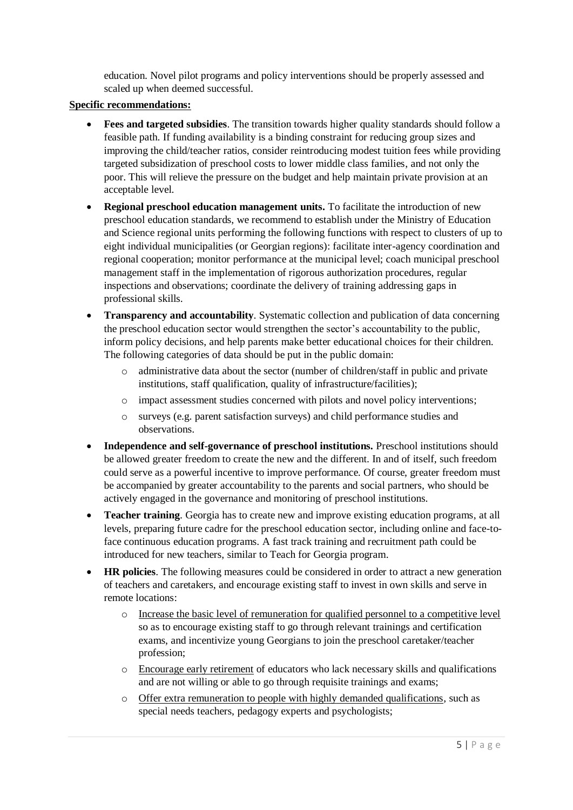education. Novel pilot programs and policy interventions should be properly assessed and scaled up when deemed successful.

#### **Specific recommendations:**

- **Fees and targeted subsidies**. The transition towards higher quality standards should follow a feasible path. If funding availability is a binding constraint for reducing group sizes and improving the child/teacher ratios, consider reintroducing modest tuition fees while providing targeted subsidization of preschool costs to lower middle class families, and not only the poor. This will relieve the pressure on the budget and help maintain private provision at an acceptable level.
- **Regional preschool education management units.** To facilitate the introduction of new preschool education standards, we recommend to establish under the Ministry of Education and Science regional units performing the following functions with respect to clusters of up to eight individual municipalities (or Georgian regions): facilitate inter-agency coordination and regional cooperation; monitor performance at the municipal level; coach municipal preschool management staff in the implementation of rigorous authorization procedures, regular inspections and observations; coordinate the delivery of training addressing gaps in professional skills.
- **Transparency and accountability**. Systematic collection and publication of data concerning the preschool education sector would strengthen the sector's accountability to the public, inform policy decisions, and help parents make better educational choices for their children. The following categories of data should be put in the public domain:
	- o administrative data about the sector (number of children/staff in public and private institutions, staff qualification, quality of infrastructure/facilities);
	- o impact assessment studies concerned with pilots and novel policy interventions;
	- o surveys (e.g. parent satisfaction surveys) and child performance studies and observations.
- Independence and self-governance of preschool institutions. Preschool institutions should be allowed greater freedom to create the new and the different. In and of itself, such freedom could serve as a powerful incentive to improve performance. Of course, greater freedom must be accompanied by greater accountability to the parents and social partners, who should be actively engaged in the governance and monitoring of preschool institutions.
- **Teacher training**. Georgia has to create new and improve existing education programs, at all levels, preparing future cadre for the preschool education sector, including online and face-toface continuous education programs. A fast track training and recruitment path could be introduced for new teachers, similar to Teach for Georgia program.
- **HR policies**. The following measures could be considered in order to attract a new generation of teachers and caretakers, and encourage existing staff to invest in own skills and serve in remote locations:
	- o Increase the basic level of remuneration for qualified personnel to a competitive level so as to encourage existing staff to go through relevant trainings and certification exams, and incentivize young Georgians to join the preschool caretaker/teacher profession;
	- o Encourage early retirement of educators who lack necessary skills and qualifications and are not willing or able to go through requisite trainings and exams;
	- o Offer extra remuneration to people with highly demanded qualifications, such as special needs teachers, pedagogy experts and psychologists;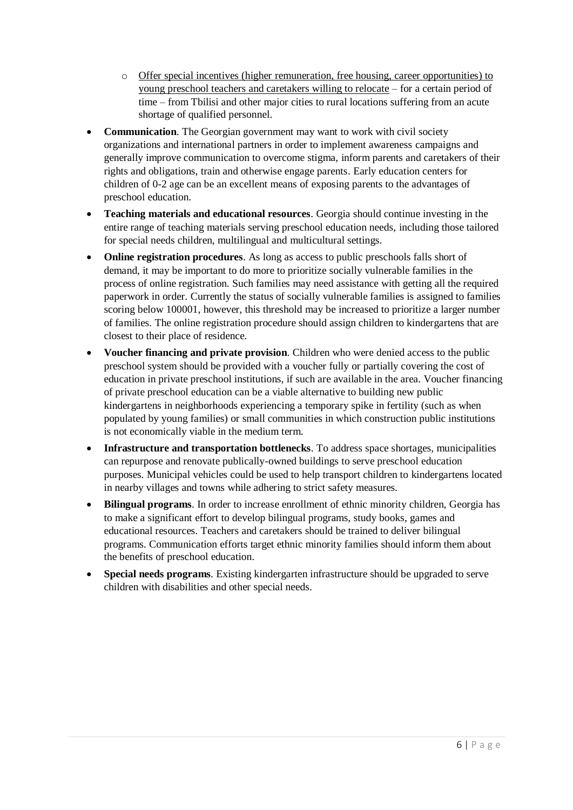- o Offer special incentives (higher remuneration, free housing, career opportunities) to young preschool teachers and caretakers willing to relocate – for a certain period of time – from Tbilisi and other major cities to rural locations suffering from an acute shortage of qualified personnel.
- **Communication**. The Georgian government may want to work with civil society organizations and international partners in order to implement awareness campaigns and generally improve communication to overcome stigma, inform parents and caretakers of their rights and obligations, train and otherwise engage parents. Early education centers for children of 0-2 age can be an excellent means of exposing parents to the advantages of preschool education.
- **Teaching materials and educational resources**. Georgia should continue investing in the entire range of teaching materials serving preschool education needs, including those tailored for special needs children, multilingual and multicultural settings.
- **Online registration procedures**. As long as access to public preschools falls short of demand, it may be important to do more to prioritize socially vulnerable families in the process of online registration. Such families may need assistance with getting all the required paperwork in order. Currently the status of socially vulnerable families is assigned to families scoring below 100001, however, this threshold may be increased to prioritize a larger number of families. The online registration procedure should assign children to kindergartens that are closest to their place of residence.
- **Voucher financing and private provision**. Children who were denied access to the public preschool system should be provided with a voucher fully or partially covering the cost of education in private preschool institutions, if such are available in the area. Voucher financing of private preschool education can be a viable alternative to building new public kindergartens in neighborhoods experiencing a temporary spike in fertility (such as when populated by young families) or small communities in which construction public institutions is not economically viable in the medium term.
- **Infrastructure and transportation bottlenecks**. To address space shortages, municipalities can repurpose and renovate publically-owned buildings to serve preschool education purposes. Municipal vehicles could be used to help transport children to kindergartens located in nearby villages and towns while adhering to strict safety measures.
- **Bilingual programs**. In order to increase enrollment of ethnic minority children, Georgia has to make a significant effort to develop bilingual programs, study books, games and educational resources. Teachers and caretakers should be trained to deliver bilingual programs. Communication efforts target ethnic minority families should inform them about the benefits of preschool education.
- **Special needs programs**. Existing kindergarten infrastructure should be upgraded to serve children with disabilities and other special needs.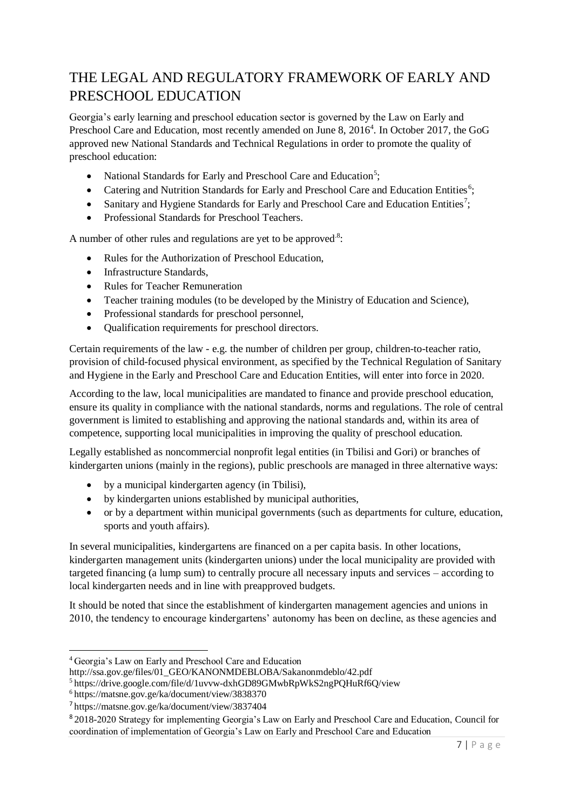## <span id="page-6-0"></span>THE LEGAL AND REGULATORY FRAMEWORK OF EARLY AND PRESCHOOL EDUCATION

Georgia's early learning and preschool education sector is governed by the Law on Early and Preschool Care and Education, most recently amended on June 8, 2016<sup>4</sup>. In October 2017, the GoG approved new National Standards and Technical Regulations in order to promote the quality of preschool education:

- National Standards for Early and Preschool Care and Education<sup>5</sup>;
- Catering and Nutrition Standards for Early and Preschool Care and Education Entities<sup>6</sup>;
- Sanitary and Hygiene Standards for Early and Preschool Care and Education Entities<sup>7</sup>;
- Professional Standards for Preschool Teachers.

A number of other rules and regulations are yet to be approved.<sup>8</sup>:

- Rules for the Authorization of Preschool Education,
- Infrastructure Standards,
- Rules for Teacher Remuneration
- Teacher training modules (to be developed by the Ministry of Education and Science),
- Professional standards for preschool personnel,
- Qualification requirements for preschool directors.

Certain requirements of the law - e.g. the number of children per group, children-to-teacher ratio, provision of child-focused physical environment, as specified by the Technical Regulation of Sanitary and Hygiene in the Early and Preschool Care and Education Entities, will enter into force in 2020.

According to the law, local municipalities are mandated to finance and provide preschool education, ensure its quality in compliance with the national standards, norms and regulations. The role of central government is limited to establishing and approving the national standards and, within its area of competence, supporting local municipalities in improving the quality of preschool education.

Legally established as noncommercial nonprofit legal entities (in Tbilisi and Gori) or branches of kindergarten unions (mainly in the regions), public preschools are managed in three alternative ways:

- by a municipal kindergarten agency (in Tbilisi),
- by kindergarten unions established by municipal authorities,
- or by a department within municipal governments (such as departments for culture, education, sports and youth affairs).

In several municipalities, kindergartens are financed on a per capita basis. In other locations, kindergarten management units (kindergarten unions) under the local municipality are provided with targeted financing (a lump sum) to centrally procure all necessary inputs and services – according to local kindergarten needs and in line with preapproved budgets.

It should be noted that since the establishment of kindergarten management agencies and unions in 2010, the tendency to encourage kindergartens' autonomy has been on decline, as these agencies and

[http://ssa.gov.ge/files/01\\_GEO/KANONMDEBLOBA/Sakanonmdeblo/42.pdf](http://ssa.gov.ge/files/01_GEO/KANONMDEBLOBA/Sakanonmdeblo/42.pdf)

<sup>4</sup> Georgia's Law on Early and Preschool Care and Education

<sup>5</sup> <https://drive.google.com/file/d/1uvvw-dxhGD89GMwbRpWkS2ngPQHuRf6Q/view>

<sup>6</sup> <https://matsne.gov.ge/ka/document/view/3838370>

<sup>7</sup> <https://matsne.gov.ge/ka/document/view/3837404>

<sup>&</sup>lt;sup>8</sup> 2018-2020 Strategy for implementing Georgia's Law on Early and Preschool Care and Education, Council for coordination of implementation of Georgia's Law on Early and Preschool Care and Education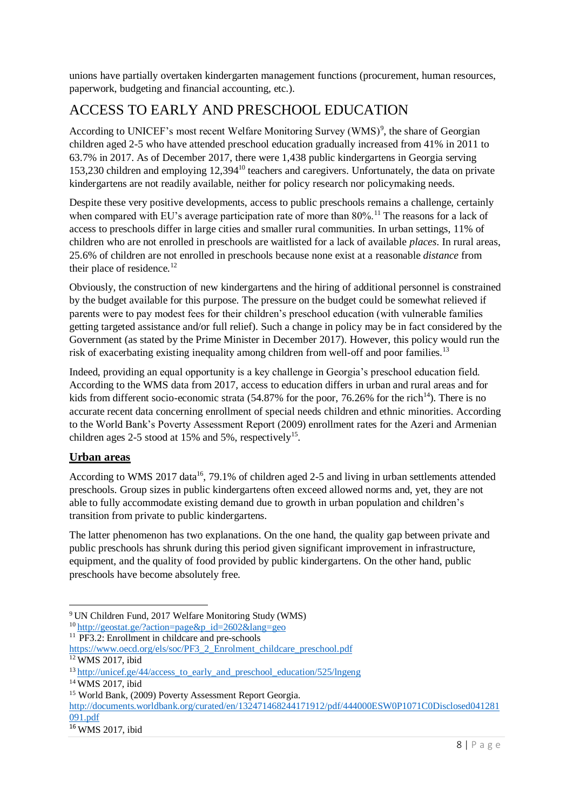unions have partially overtaken kindergarten management functions (procurement, human resources, paperwork, budgeting and financial accounting, etc.).

## <span id="page-7-0"></span>ACCESS TO EARLY AND PRESCHOOL EDUCATION

According to UNICEF's most recent Welfare Monitoring Survey (WMS)<sup>9</sup>, the share of Georgian children aged 2-5 who have attended preschool education gradually increased from 41% in 2011 to 63.7% in 2017. As of December 2017, there were 1,438 public kindergartens in Georgia serving 153,230 children and employing 12,394<sup>10</sup> teachers and caregivers. Unfortunately, the data on private kindergartens are not readily available, neither for policy research nor policymaking needs.

Despite these very positive developments, access to public preschools remains a challenge, certainly when compared with EU's average participation rate of more than  $80\%$ .<sup>11</sup> The reasons for a lack of access to preschools differ in large cities and smaller rural communities. In urban settings, 11% of children who are not enrolled in preschools are waitlisted for a lack of available *places*. In rural areas, 25.6% of children are not enrolled in preschools because none exist at a reasonable *distance* from their place of residence. $12$ 

Obviously, the construction of new kindergartens and the hiring of additional personnel is constrained by the budget available for this purpose. The pressure on the budget could be somewhat relieved if parents were to pay modest fees for their children's preschool education (with vulnerable families getting targeted assistance and/or full relief). Such a change in policy may be in fact considered by the Government (as stated by the Prime Minister in December 2017). However, this policy would run the risk of exacerbating existing inequality among children from well-off and poor families.<sup>13</sup>

Indeed, providing an equal opportunity is a key challenge in Georgia's preschool education field. According to the WMS data from 2017, access to education differs in urban and rural areas and for kids from different socio-economic strata (54.87% for the poor, 76.26% for the rich<sup>14</sup>). There is no accurate recent data concerning enrollment of special needs children and ethnic minorities. According to the World Bank's Poverty Assessment Report (2009) enrollment rates for the Azeri and Armenian children ages 2-5 stood at 15% and 5%, respectively<sup>15</sup>.

#### <span id="page-7-1"></span>**Urban areas**

According to WMS 2017 data<sup>16</sup>, 79.1% of children aged 2-5 and living in urban settlements attended preschools. Group sizes in public kindergartens often exceed allowed norms and, yet, they are not able to fully accommodate existing demand due to growth in urban population and children's transition from private to public kindergartens.

The latter phenomenon has two explanations. On the one hand, the quality gap between private and public preschools has shrunk during this period given significant improvement in infrastructure, equipment, and the quality of food provided by public kindergartens. On the other hand, public preschools have become absolutely free.

 $11$  PF3.2: Enrollment in childcare and pre-schools

<sup>9</sup> UN Children Fund, 2017 Welfare Monitoring Study (WMS)

<sup>10</sup> [http://geostat.ge/?action=page&p\\_id=2602&lang=geo](http://geostat.ge/?action=page&p_id=2602&lang=geo)

[https://www.oecd.org/els/soc/PF3\\_2\\_Enrolment\\_childcare\\_preschool.pdf](https://www.oecd.org/els/soc/PF3_2_Enrolment_childcare_preschool.pdf)

<sup>&</sup>lt;sup>12</sup> WMS 2017, ibid

<sup>&</sup>lt;sup>13</sup> http://unicef.ge/44/access\_to\_early\_and\_preschool\_education/525/lngeng

<sup>14</sup> WMS 2017, ibid

<sup>&</sup>lt;sup>15</sup> World Bank, (2009) Poverty Assessment Report Georgia.

[http://documents.worldbank.org/curated/en/132471468244171912/pdf/444000ESW0P1071C0Disclosed041281](http://documents.worldbank.org/curated/en/132471468244171912/pdf/444000ESW0P1071C0Disclosed041281091.pdf) [091.pdf](http://documents.worldbank.org/curated/en/132471468244171912/pdf/444000ESW0P1071C0Disclosed041281091.pdf)

<sup>16</sup> WMS 2017, ibid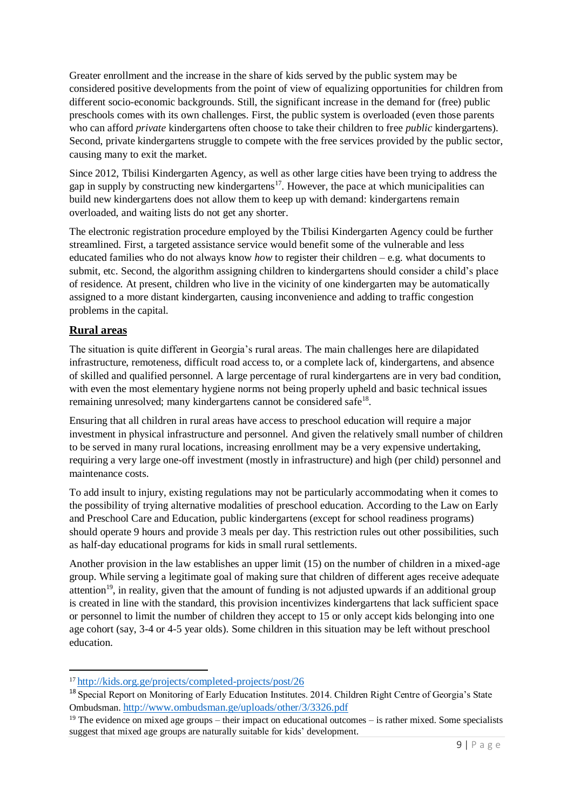Greater enrollment and the increase in the share of kids served by the public system may be considered positive developments from the point of view of equalizing opportunities for children from different socio-economic backgrounds. Still, the significant increase in the demand for (free) public preschools comes with its own challenges. First, the public system is overloaded (even those parents who can afford *private* kindergartens often choose to take their children to free *public* kindergartens). Second, private kindergartens struggle to compete with the free services provided by the public sector, causing many to exit the market.

Since 2012, Tbilisi Kindergarten Agency, as well as other large cities have been trying to address the gap in supply by constructing new kindergartens<sup>17</sup>. However, the pace at which municipalities can build new kindergartens does not allow them to keep up with demand: kindergartens remain overloaded, and waiting lists do not get any shorter.

The electronic registration procedure employed by the Tbilisi Kindergarten Agency could be further streamlined. First, a targeted assistance service would benefit some of the vulnerable and less educated families who do not always know *how* to register their children – e.g. what documents to submit, etc. Second, the algorithm assigning children to kindergartens should consider a child's place of residence. At present, children who live in the vicinity of one kindergarten may be automatically assigned to a more distant kindergarten, causing inconvenience and adding to traffic congestion problems in the capital.

#### <span id="page-8-0"></span>**Rural areas**

1

The situation is quite different in Georgia's rural areas. The main challenges here are dilapidated infrastructure, remoteness, difficult road access to, or a complete lack of, kindergartens, and absence of skilled and qualified personnel. A large percentage of rural kindergartens are in very bad condition, with even the most elementary hygiene norms not being properly upheld and basic technical issues remaining unresolved; many kindergartens cannot be considered safe<sup>18</sup>.

Ensuring that all children in rural areas have access to preschool education will require a major investment in physical infrastructure and personnel. And given the relatively small number of children to be served in many rural locations, increasing enrollment may be a very expensive undertaking, requiring a very large one-off investment (mostly in infrastructure) and high (per child) personnel and maintenance costs.

To add insult to injury, existing regulations may not be particularly accommodating when it comes to the possibility of trying alternative modalities of preschool education. According to the Law on Early and Preschool Care and Education, public kindergartens (except for school readiness programs) should operate 9 hours and provide 3 meals per day. This restriction rules out other possibilities, such as half-day educational programs for kids in small rural settlements.

Another provision in the law establishes an upper limit (15) on the number of children in a mixed-age group. While serving a legitimate goal of making sure that children of different ages receive adequate attention<sup>19</sup>, in reality, given that the amount of funding is not adjusted upwards if an additional group is created in line with the standard, this provision incentivizes kindergartens that lack sufficient space or personnel to limit the number of children they accept to 15 or only accept kids belonging into one age cohort (say, 3-4 or 4-5 year olds). Some children in this situation may be left without preschool education.

<sup>17</sup> http://kids.org.ge/projects/completed-projects/post/26

<sup>&</sup>lt;sup>18</sup> Special Report on Monitoring of Early Education Institutes. 2014. Children Right Centre of Georgia's State Ombudsman. <http://www.ombudsman.ge/uploads/other/3/3326.pdf>

 $19$  The evidence on mixed age groups – their impact on educational outcomes – is rather mixed. Some specialists suggest that mixed age groups are naturally suitable for kids' development.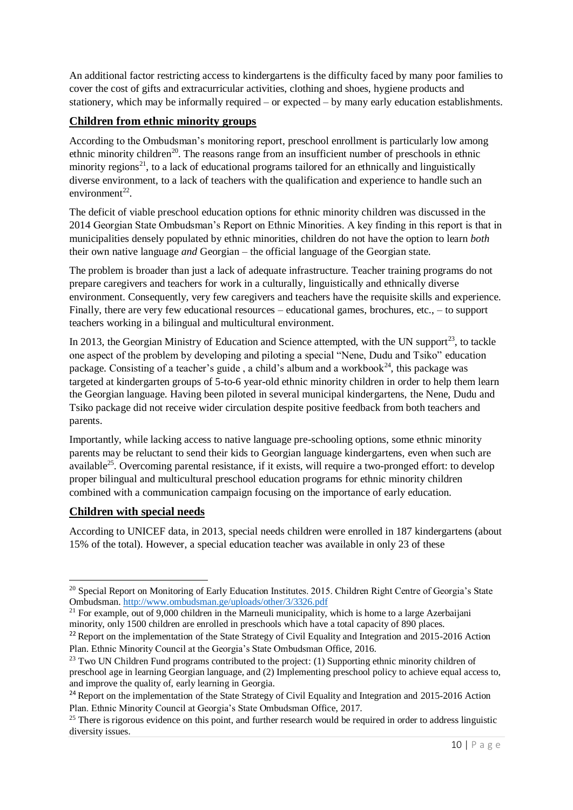An additional factor restricting access to kindergartens is the difficulty faced by many poor families to cover the cost of gifts and extracurricular activities, clothing and shoes, hygiene products and stationery, which may be informally required – or expected – by many early education establishments.

#### <span id="page-9-0"></span>**Children from ethnic minority groups**

According to the Ombudsman's monitoring report, preschool enrollment is particularly low among ethnic minority children<sup>20</sup>. The reasons range from an insufficient number of preschools in ethnic minority regions<sup>21</sup>, to a lack of educational programs tailored for an ethnically and linguistically diverse environment, to a lack of teachers with the qualification and experience to handle such an  $environment^{22}$ .

The deficit of viable preschool education options for ethnic minority children was discussed in the 2014 Georgian State Ombudsman's Report on Ethnic Minorities. A key finding in this report is that in municipalities densely populated by ethnic minorities, children do not have the option to learn *both* their own native language *and* Georgian – the official language of the Georgian state.

The problem is broader than just a lack of adequate infrastructure. Teacher training programs do not prepare caregivers and teachers for work in a culturally, linguistically and ethnically diverse environment. Consequently, very few caregivers and teachers have the requisite skills and experience. Finally, there are very few educational resources – educational games, brochures, etc., – to support teachers working in a bilingual and multicultural environment.

In 2013, the Georgian Ministry of Education and Science attempted, with the UN support<sup>23</sup>, to tackle one aspect of the problem by developing and piloting a special "Nene, Dudu and Tsiko" education package. Consisting of a teacher's guide, a child's album and a workbook<sup>24</sup>, this package was targeted at kindergarten groups of 5-to-6 year-old ethnic minority children in order to help them learn the Georgian language. Having been piloted in several municipal kindergartens, the Nene, Dudu and Tsiko package did not receive wider circulation despite positive feedback from both teachers and parents.

Importantly, while lacking access to native language pre-schooling options, some ethnic minority parents may be reluctant to send their kids to Georgian language kindergartens, even when such are available<sup>25</sup>. Overcoming parental resistance, if it exists, will require a two-pronged effort: to develop proper bilingual and multicultural preschool education programs for ethnic minority children combined with a communication campaign focusing on the importance of early education.

#### <span id="page-9-1"></span>**Children with special needs**

According to UNICEF data, in 2013, special needs children were enrolled in 187 kindergartens (about 15% of the total). However, a special education teacher was available in only 23 of these

<sup>-</sup><sup>20</sup> Special Report on Monitoring of Early Education Institutes. 2015. Children Right Centre of Georgia's State Ombudsman. <http://www.ombudsman.ge/uploads/other/3/3326.pdf>

 $21$  For example, out of 9,000 children in the Marneuli municipality, which is home to a large Azerbaijani minority, only 1500 children are enrolled in preschools which have a total capacity of 890 places.

<sup>&</sup>lt;sup>22</sup> Report on the implementation of the State Strategy of Civil Equality and Integration and 2015-2016 Action Plan. Ethnic Minority Council at the Georgia's State Ombudsman Office, 2016.

<sup>&</sup>lt;sup>23</sup> Two UN Children Fund programs contributed to the project: (1) Supporting ethnic minority children of preschool age in learning Georgian language, and (2) Implementing preschool policy to achieve equal access to, and improve the quality of, early learning in Georgia.

<sup>&</sup>lt;sup>24</sup> Report on the implementation of the State Strategy of Civil Equality and Integration and 2015-2016 Action Plan. Ethnic Minority Council at Georgia's State Ombudsman Office, 2017.

 $25$  There is rigorous evidence on this point, and further research would be required in order to address linguistic diversity issues.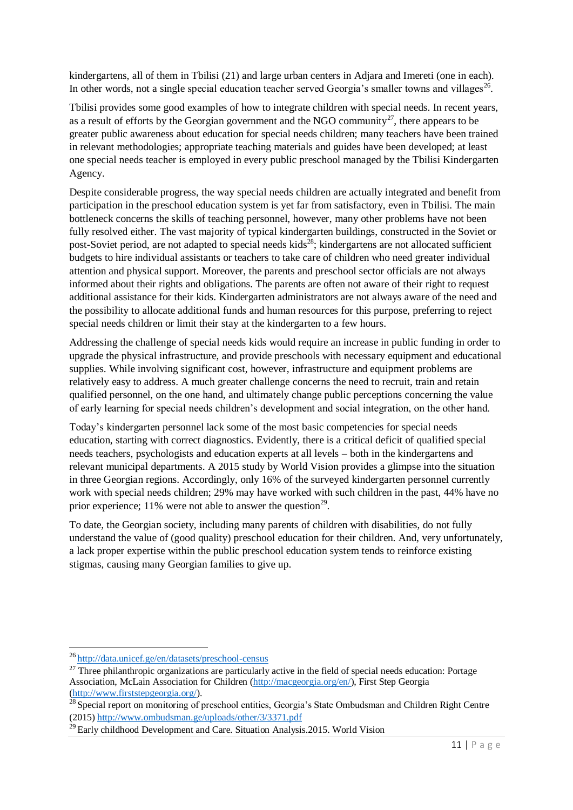kindergartens, all of them in Tbilisi (21) and large urban centers in Adjara and Imereti (one in each). In other words, not a single special education teacher served Georgia's smaller towns and villages<sup>26</sup>.

Tbilisi provides some good examples of how to integrate children with special needs. In recent years, as a result of efforts by the Georgian government and the NGO community<sup>27</sup>, there appears to be greater public awareness about education for special needs children; many teachers have been trained in relevant methodologies; appropriate teaching materials and guides have been developed; at least one special needs teacher is employed in every public preschool managed by the Tbilisi Kindergarten Agency.

Despite considerable progress, the way special needs children are actually integrated and benefit from participation in the preschool education system is yet far from satisfactory, even in Tbilisi. The main bottleneck concerns the skills of teaching personnel, however, many other problems have not been fully resolved either. The vast majority of typical kindergarten buildings, constructed in the Soviet or post-Soviet period, are not adapted to special needs kids<sup>28</sup>; kindergartens are not allocated sufficient budgets to hire individual assistants or teachers to take care of children who need greater individual attention and physical support. Moreover, the parents and preschool sector officials are not always informed about their rights and obligations. The parents are often not aware of their right to request additional assistance for their kids. Kindergarten administrators are not always aware of the need and the possibility to allocate additional funds and human resources for this purpose, preferring to reject special needs children or limit their stay at the kindergarten to a few hours.

Addressing the challenge of special needs kids would require an increase in public funding in order to upgrade the physical infrastructure, and provide preschools with necessary equipment and educational supplies. While involving significant cost, however, infrastructure and equipment problems are relatively easy to address. A much greater challenge concerns the need to recruit, train and retain qualified personnel, on the one hand, and ultimately change public perceptions concerning the value of early learning for special needs children's development and social integration, on the other hand.

Today's kindergarten personnel lack some of the most basic competencies for special needs education, starting with correct diagnostics. Evidently, there is a critical deficit of qualified special needs teachers, psychologists and education experts at all levels – both in the kindergartens and relevant municipal departments. A 2015 study by World Vision provides a glimpse into the situation in three Georgian regions. Accordingly, only 16% of the surveyed kindergarten personnel currently work with special needs children; 29% may have worked with such children in the past, 44% have no prior experience; 11% were not able to answer the question<sup>29</sup>.

To date, the Georgian society, including many parents of children with disabilities, do not fully understand the value of (good quality) preschool education for their children. And, very unfortunately, a lack proper expertise within the public preschool education system tends to reinforce existing stigmas, causing many Georgian families to give up.

<sup>26</sup> <http://data.unicef.ge/en/datasets/preschool-census>

 $27$  Three philanthropic organizations are particularly active in the field of special needs education: Portage Association, McLain Association for Children [\(http://macgeorgia.org/en/\)](http://macgeorgia.org/en/), First Step Georgia [\(http://www.firststepgeorgia.org/\)](http://www.firststepgeorgia.org/).

<sup>&</sup>lt;sup>28</sup> Special report on monitoring of preschool entities, Georgia's State Ombudsman and Children Right Centre (2015)<http://www.ombudsman.ge/uploads/other/3/3371.pdf>

 $^{29}$  Early childhood Development and Care. Situation Analysis.2015. World Vision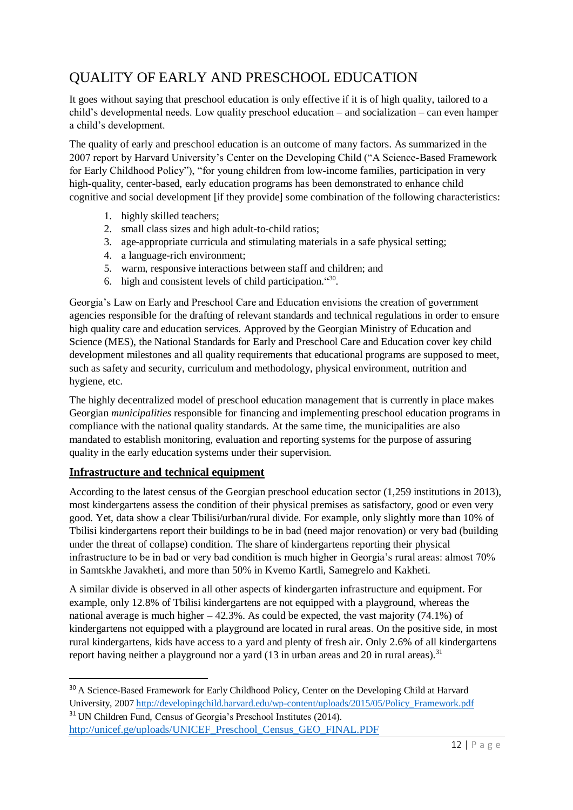## <span id="page-11-0"></span>QUALITY OF EARLY AND PRESCHOOL EDUCATION

It goes without saying that preschool education is only effective if it is of high quality, tailored to a child's developmental needs. Low quality preschool education – and socialization – can even hamper a child's development.

The quality of early and preschool education is an outcome of many factors. As summarized in the 2007 report by Harvard University's Center on the Developing Child ("A Science-Based Framework for Early Childhood Policy"), "for young children from low-income families, participation in very high-quality, center-based, early education programs has been demonstrated to enhance child cognitive and social development [if they provide] some combination of the following characteristics:

- 1. highly skilled teachers;
- 2. small class sizes and high adult-to-child ratios;
- 3. age-appropriate curricula and stimulating materials in a safe physical setting;
- 4. a language-rich environment;
- 5. warm, responsive interactions between staff and children; and
- 6. high and consistent levels of child participation." 30 .

Georgia's Law on Early and Preschool Care and Education envisions the creation of government agencies responsible for the drafting of relevant standards and technical regulations in order to ensure high quality care and education services. Approved by the Georgian Ministry of Education and Science (MES), the National Standards for Early and Preschool Care and Education cover key child development milestones and all quality requirements that educational programs are supposed to meet, such as safety and security, curriculum and methodology, physical environment, nutrition and hygiene, etc.

The highly decentralized model of preschool education management that is currently in place makes Georgian *municipalities* responsible for financing and implementing preschool education programs in compliance with the national quality standards. At the same time, the municipalities are also mandated to establish monitoring, evaluation and reporting systems for the purpose of assuring quality in the early education systems under their supervision.

#### <span id="page-11-1"></span>**Infrastructure and technical equipment**

1

According to the latest census of the Georgian preschool education sector (1,259 institutions in 2013), most kindergartens assess the condition of their physical premises as satisfactory, good or even very good. Yet, data show a clear Tbilisi/urban/rural divide. For example, only slightly more than 10% of Tbilisi kindergartens report their buildings to be in bad (need major renovation) or very bad (building under the threat of collapse) condition. The share of kindergartens reporting their physical infrastructure to be in bad or very bad condition is much higher in Georgia's rural areas: almost 70% in Samtskhe Javakheti, and more than 50% in Kvemo Kartli, Samegrelo and Kakheti.

A similar divide is observed in all other aspects of kindergarten infrastructure and equipment. For example, only 12.8% of Tbilisi kindergartens are not equipped with a playground, whereas the national average is much higher  $-42.3\%$ . As could be expected, the vast majority (74.1%) of kindergartens not equipped with a playground are located in rural areas. On the positive side, in most rural kindergartens, kids have access to a yard and plenty of fresh air. Only 2.6% of all kindergartens report having neither a playground nor a yard  $(13 \text{ in urban areas and } 20 \text{ in rural areas})$ .<sup>31</sup>

<sup>&</sup>lt;sup>30</sup> A Science-Based Framework for Early Childhood Policy, Center on the Developing Child at Harvard University, 200[7 http://developingchild.harvard.edu/wp-content/uploads/2015/05/Policy\\_Framework.pdf](http://developingchild.harvard.edu/wp-content/uploads/2015/05/Policy_Framework.pdf) <sup>31</sup> UN Children Fund, Census of Georgia's Preschool Institutes (2014). [http://unicef.ge/uploads/UNICEF\\_Preschool\\_Census\\_GEO\\_FINAL.PDF](http://unicef.ge/uploads/UNICEF_Preschool_Census_GEO_FINAL.PDF)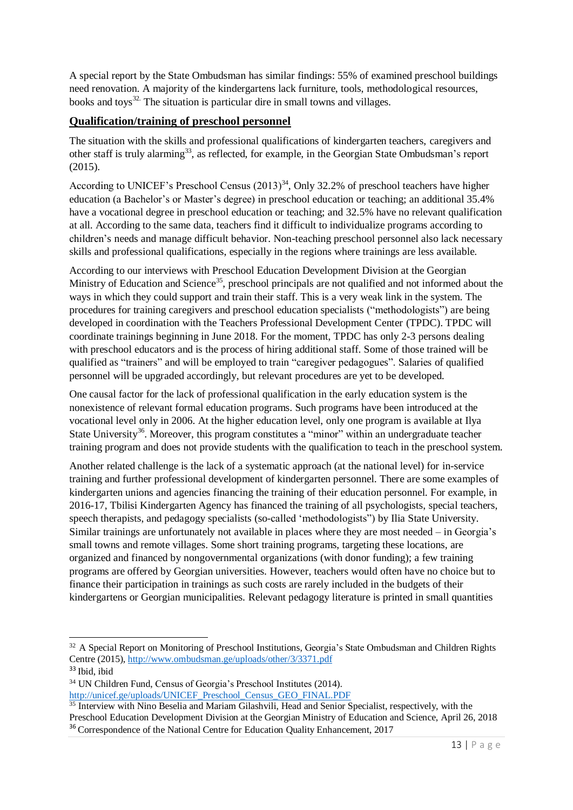A special report by the State Ombudsman has similar findings: 55% of examined preschool buildings need renovation. A majority of the kindergartens lack furniture, tools, methodological resources, books and toys<sup>32.</sup> The situation is particular dire in small towns and villages.

#### <span id="page-12-0"></span>**Qualification/training of preschool personnel**

The situation with the skills and professional qualifications of kindergarten teachers, caregivers and other staff is truly alarming<sup>33</sup>, as reflected, for example, in the Georgian State Ombudsman's report  $(2015)$ .

According to UNICEF's Preschool Census  $(2013)^{34}$ , Only 32.2% of preschool teachers have higher education (a Bachelor's or Master's degree) in preschool education or teaching; an additional 35.4% have a vocational degree in preschool education or teaching; and 32.5% have no relevant qualification at all. According to the same data, teachers find it difficult to individualize programs according to children's needs and manage difficult behavior. Non-teaching preschool personnel also lack necessary skills and professional qualifications, especially in the regions where trainings are less available.

According to our interviews with Preschool Education Development Division at the Georgian Ministry of Education and Science<sup>35</sup>, preschool principals are not qualified and not informed about the ways in which they could support and train their staff. This is a very weak link in the system. The procedures for training caregivers and preschool education specialists ("methodologists") are being developed in coordination with the Teachers Professional Development Center (TPDC). TPDC will coordinate trainings beginning in June 2018. For the moment, TPDC has only 2-3 persons dealing with preschool educators and is the process of hiring additional staff. Some of those trained will be qualified as "trainers" and will be employed to train "caregiver pedagogues". Salaries of qualified personnel will be upgraded accordingly, but relevant procedures are yet to be developed.

One causal factor for the lack of professional qualification in the early education system is the nonexistence of relevant formal education programs. Such programs have been introduced at the vocational level only in 2006. At the higher education level, only one program is available at Ilya State University<sup>36</sup>. Moreover, this program constitutes a "minor" within an undergraduate teacher training program and does not provide students with the qualification to teach in the preschool system.

Another related challenge is the lack of a systematic approach (at the national level) for in-service training and further professional development of kindergarten personnel. There are some examples of kindergarten unions and agencies financing the training of their education personnel. For example, in 2016-17, Tbilisi Kindergarten Agency has financed the training of all psychologists, special teachers, speech therapists, and pedagogy specialists (so-called 'methodologists") by Ilia State University. Similar trainings are unfortunately not available in places where they are most needed – in Georgia's small towns and remote villages. Some short training programs, targeting these locations, are organized and financed by nongovernmental organizations (with donor funding); a few training programs are offered by Georgian universities. However, teachers would often have no choice but to finance their participation in trainings as such costs are rarely included in the budgets of their kindergartens or Georgian municipalities. Relevant pedagogy literature is printed in small quantities

<sup>&</sup>lt;sup>32</sup> A Special Report on Monitoring of Preschool Institutions, Georgia's State Ombudsman and Children Rights Centre (2015), <http://www.ombudsman.ge/uploads/other/3/3371.pdf>

<sup>33</sup> Ibid, ibid

<sup>34</sup> UN Children Fund, Census of Georgia's Preschool Institutes (2014). [http://unicef.ge/uploads/UNICEF\\_Preschool\\_Census\\_GEO\\_FINAL.PDF](http://unicef.ge/uploads/UNICEF_Preschool_Census_GEO_FINAL.PDF)

 $\frac{35}{35}$  Interview with Nino Beselia and Mariam Gilashvili, Head and Senior Specialist, respectively, with the

Preschool Education Development Division at the Georgian Ministry of Education and Science, April 26, 2018 <sup>36</sup> Correspondence of the National Centre for Education Quality Enhancement, 2017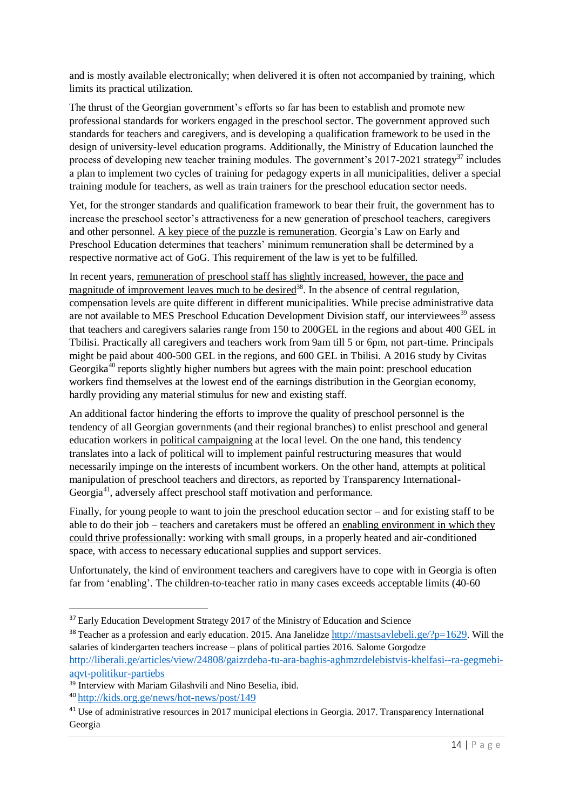and is mostly available electronically; when delivered it is often not accompanied by training, which limits its practical utilization.

The thrust of the Georgian government's efforts so far has been to establish and promote new professional standards for workers engaged in the preschool sector. The government approved such standards for teachers and caregivers, and is developing a qualification framework to be used in the design of university-level education programs. Additionally, the Ministry of Education launched the process of developing new teacher training modules. The government's 2017-2021 strategy<sup>37</sup> includes a plan to implement two cycles of training for pedagogy experts in all municipalities, deliver a special training module for teachers, as well as train trainers for the preschool education sector needs.

Yet, for the stronger standards and qualification framework to bear their fruit, the government has to increase the preschool sector's attractiveness for a new generation of preschool teachers, caregivers and other personnel. A key piece of the puzzle is remuneration. Georgia's Law on Early and Preschool Education determines that teachers' minimum remuneration shall be determined by a respective normative act of GoG. This requirement of the law is yet to be fulfilled.

In recent years, remuneration of preschool staff has slightly increased, however, the pace and magnitude of improvement leaves much to be desired<sup>38</sup>. In the absence of central regulation, compensation levels are quite different in different municipalities. While precise administrative data are not available to MES Preschool Education Development Division staff, our interviewees<sup>39</sup> assess that teachers and caregivers salaries range from 150 to 200GEL in the regions and about 400 GEL in Tbilisi. Practically all caregivers and teachers work from 9am till 5 or 6pm, not part-time. Principals might be paid about 400-500 GEL in the regions, and 600 GEL in Tbilisi. A 2016 study by Civitas Georgika<sup>40</sup> reports slightly higher numbers but agrees with the main point: preschool education workers find themselves at the lowest end of the earnings distribution in the Georgian economy, hardly providing any material stimulus for new and existing staff.

An additional factor hindering the efforts to improve the quality of preschool personnel is the tendency of all Georgian governments (and their regional branches) to enlist preschool and general education workers in political campaigning at the local level. On the one hand, this tendency translates into a lack of political will to implement painful restructuring measures that would necessarily impinge on the interests of incumbent workers. On the other hand, attempts at political manipulation of preschool teachers and directors, as reported by Transparency International-Georgia<sup>41</sup>, adversely affect preschool staff motivation and performance.

Finally, for young people to want to join the preschool education sector – and for existing staff to be able to do their job – teachers and caretakers must be offered an enabling environment in which they could thrive professionally: working with small groups, in a properly heated and air-conditioned space, with access to necessary educational supplies and support services.

Unfortunately, the kind of environment teachers and caregivers have to cope with in Georgia is often far from 'enabling'. The children-to-teacher ratio in many cases exceeds acceptable limits (40-60

<sup>&</sup>lt;sup>37</sup> Early Education Development Strategy 2017 of the Ministry of Education and Science

<sup>&</sup>lt;sup>38</sup> Teacher as a profession and early education. 2015. Ana Janelidze <http://mastsavlebeli.ge/?p=1629>. Will the salaries of kindergarten teachers increase – plans of political parties 2016. [Salome Gorgodze](file:///C:/Users/HP/Downloads/Salome%20Gorgodze) http://liberali.ge/articles/view/24808/gaizrdeba-tu-ara-baghis-aghmzrdelebistvis-khelfasi--ra-gegmebiaqvt-politikur-partiebs

<sup>&</sup>lt;sup>39</sup> Interview with Mariam Gilashvili and Nino Beselia, ibid.

<sup>40</sup> <http://kids.org.ge/news/hot-news/post/149>

<sup>&</sup>lt;sup>41</sup> Use of administrative resources in 2017 municipal elections in Georgia. 2017. Transparency International Georgia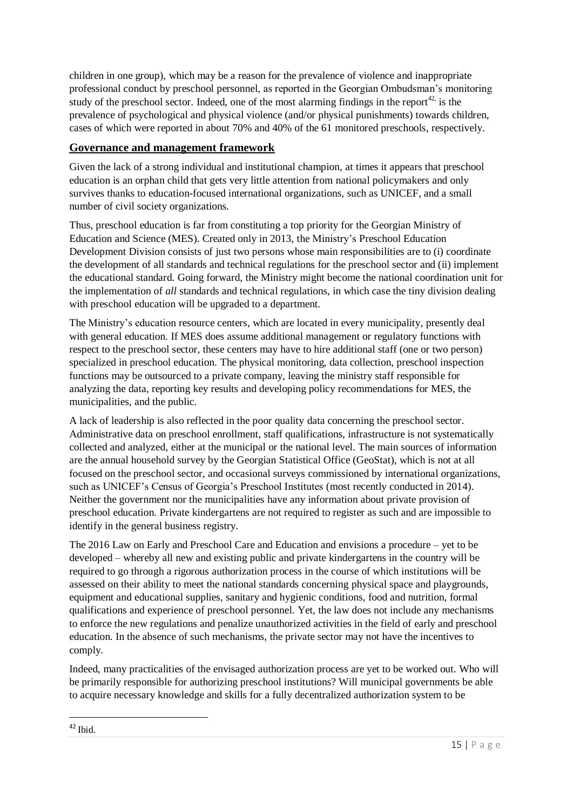children in one group), which may be a reason for the prevalence of violence and inappropriate professional conduct by preschool personnel, as reported in the Georgian Ombudsman's monitoring study of the preschool sector. Indeed, one of the most alarming findings in the report $42$ , is the prevalence of psychological and physical violence (and/or physical punishments) towards children, cases of which were reported in about 70% and 40% of the 61 monitored preschools, respectively.

#### <span id="page-14-0"></span>**Governance and management framework**

Given the lack of a strong individual and institutional champion, at times it appears that preschool education is an orphan child that gets very little attention from national policymakers and only survives thanks to education-focused international organizations, such as UNICEF, and a small number of civil society organizations.

Thus, preschool education is far from constituting a top priority for the Georgian Ministry of Education and Science (MES). Created only in 2013, the Ministry's Preschool Education Development Division consists of just two persons whose main responsibilities are to (i) coordinate the development of all standards and technical regulations for the preschool sector and (ii) implement the educational standard. Going forward, the Ministry might become the national coordination unit for the implementation of *all* standards and technical regulations, in which case the tiny division dealing with preschool education will be upgraded to a department.

The Ministry's education resource centers, which are located in every municipality, presently deal with general education. If MES does assume additional management or regulatory functions with respect to the preschool sector, these centers may have to hire additional staff (one or two person) specialized in preschool education. The physical monitoring, data collection, preschool inspection functions may be outsourced to a private company, leaving the ministry staff responsible for analyzing the data, reporting key results and developing policy recommendations for MES, the municipalities, and the public.

A lack of leadership is also reflected in the poor quality data concerning the preschool sector. Administrative data on preschool enrollment, staff qualifications, infrastructure is not systematically collected and analyzed, either at the municipal or the national level. The main sources of information are the annual household survey by the Georgian Statistical Office (GeoStat), which is not at all focused on the preschool sector, and occasional surveys commissioned by international organizations, such as UNICEF's Census of Georgia's Preschool Institutes (most recently conducted in 2014). Neither the government nor the municipalities have any information about private provision of preschool education. Private kindergartens are not required to register as such and are impossible to identify in the general business registry.

The 2016 Law on Early and Preschool Care and Education and envisions a procedure – yet to be developed – whereby all new and existing public and private kindergartens in the country will be required to go through a rigorous authorization process in the course of which institutions will be assessed on their ability to meet the national standards concerning physical space and playgrounds, equipment and educational supplies, sanitary and hygienic conditions, food and nutrition, formal qualifications and experience of preschool personnel. Yet, the law does not include any mechanisms to enforce the new regulations and penalize unauthorized activities in the field of early and preschool education. In the absence of such mechanisms, the private sector may not have the incentives to comply.

Indeed, many practicalities of the envisaged authorization process are yet to be worked out. Who will be primarily responsible for authorizing preschool institutions? Will municipal governments be able to acquire necessary knowledge and skills for a fully decentralized authorization system to be

**.**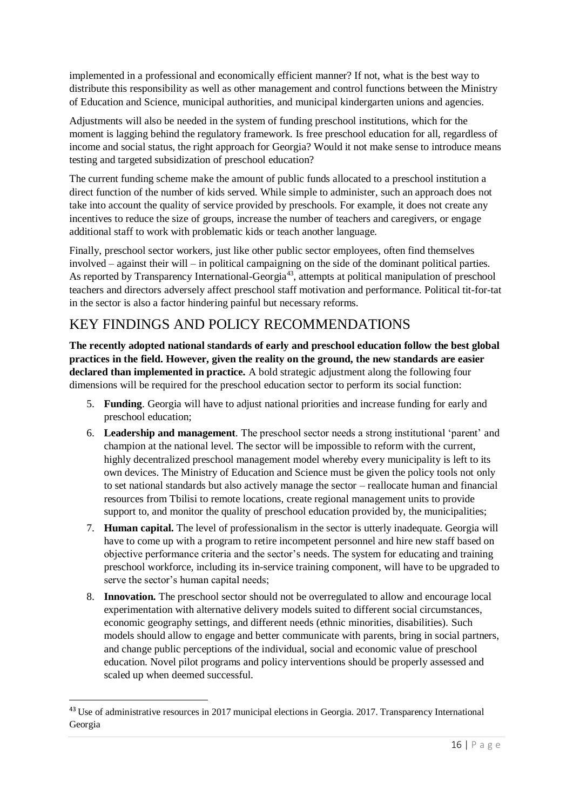implemented in a professional and economically efficient manner? If not, what is the best way to distribute this responsibility as well as other management and control functions between the Ministry of Education and Science, municipal authorities, and municipal kindergarten unions and agencies.

Adjustments will also be needed in the system of funding preschool institutions, which for the moment is lagging behind the regulatory framework. Is free preschool education for all, regardless of income and social status, the right approach for Georgia? Would it not make sense to introduce means testing and targeted subsidization of preschool education?

The current funding scheme make the amount of public funds allocated to a preschool institution a direct function of the number of kids served. While simple to administer, such an approach does not take into account the quality of service provided by preschools. For example, it does not create any incentives to reduce the size of groups, increase the number of teachers and caregivers, or engage additional staff to work with problematic kids or teach another language.

Finally, preschool sector workers, just like other public sector employees, often find themselves involved – against their will – in political campaigning on the side of the dominant political parties. As reported by Transparency International-Georgia<sup>43</sup>, attempts at political manipulation of preschool teachers and directors adversely affect preschool staff motivation and performance. Political tit-for-tat in the sector is also a factor hindering painful but necessary reforms.

## <span id="page-15-0"></span>KEY FINDINGS AND POLICY RECOMMENDATIONS

**The recently adopted national standards of early and preschool education follow the best global practices in the field. However, given the reality on the ground, the new standards are easier declared than implemented in practice.** A bold strategic adjustment along the following four dimensions will be required for the preschool education sector to perform its social function:

- 5. **Funding**. Georgia will have to adjust national priorities and increase funding for early and preschool education;
- 6. **Leadership and management**. The preschool sector needs a strong institutional 'parent' and champion at the national level. The sector will be impossible to reform with the current, highly decentralized preschool management model whereby every municipality is left to its own devices. The Ministry of Education and Science must be given the policy tools not only to set national standards but also actively manage the sector – reallocate human and financial resources from Tbilisi to remote locations, create regional management units to provide support to, and monitor the quality of preschool education provided by, the municipalities;
- 7. **Human capital.** The level of professionalism in the sector is utterly inadequate. Georgia will have to come up with a program to retire incompetent personnel and hire new staff based on objective performance criteria and the sector's needs. The system for educating and training preschool workforce, including its in-service training component, will have to be upgraded to serve the sector's human capital needs;
- 8. **Innovation.** The preschool sector should not be overregulated to allow and encourage local experimentation with alternative delivery models suited to different social circumstances, economic geography settings, and different needs (ethnic minorities, disabilities). Such models should allow to engage and better communicate with parents, bring in social partners, and change public perceptions of the individual, social and economic value of preschool education. Novel pilot programs and policy interventions should be properly assessed and scaled up when deemed successful.

**.** 

<sup>43</sup> Use of administrative resources in 2017 municipal elections in Georgia. 2017. Transparency International Georgia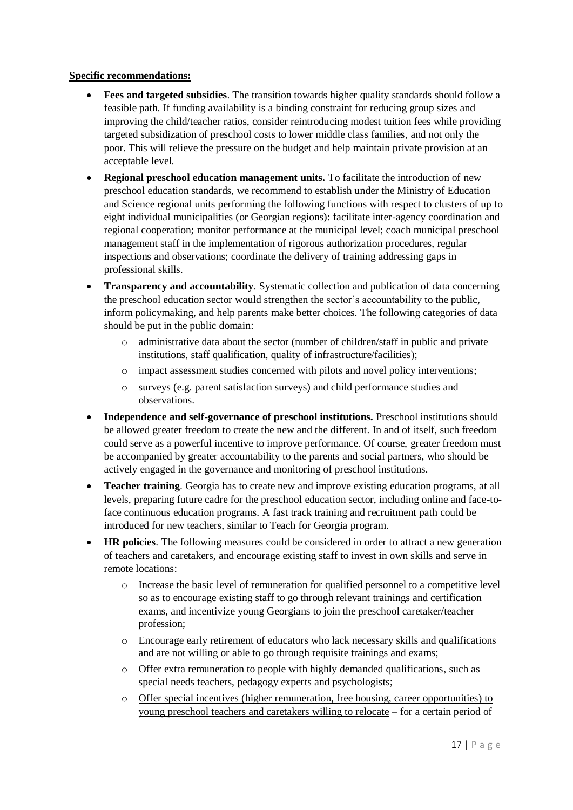#### **Specific recommendations:**

- **Fees and targeted subsidies**. The transition towards higher quality standards should follow a feasible path. If funding availability is a binding constraint for reducing group sizes and improving the child/teacher ratios, consider reintroducing modest tuition fees while providing targeted subsidization of preschool costs to lower middle class families, and not only the poor. This will relieve the pressure on the budget and help maintain private provision at an acceptable level.
- **Regional preschool education management units.** To facilitate the introduction of new preschool education standards, we recommend to establish under the Ministry of Education and Science regional units performing the following functions with respect to clusters of up to eight individual municipalities (or Georgian regions): facilitate inter-agency coordination and regional cooperation; monitor performance at the municipal level; coach municipal preschool management staff in the implementation of rigorous authorization procedures, regular inspections and observations; coordinate the delivery of training addressing gaps in professional skills.
- **Transparency and accountability**. Systematic collection and publication of data concerning the preschool education sector would strengthen the sector's accountability to the public, inform policymaking, and help parents make better choices. The following categories of data should be put in the public domain:
	- o administrative data about the sector (number of children/staff in public and private institutions, staff qualification, quality of infrastructure/facilities);
	- o impact assessment studies concerned with pilots and novel policy interventions;
	- o surveys (e.g. parent satisfaction surveys) and child performance studies and observations.
- Independence and self-governance of preschool institutions. Preschool institutions should be allowed greater freedom to create the new and the different. In and of itself, such freedom could serve as a powerful incentive to improve performance. Of course, greater freedom must be accompanied by greater accountability to the parents and social partners, who should be actively engaged in the governance and monitoring of preschool institutions.
- **Teacher training**. Georgia has to create new and improve existing education programs, at all levels, preparing future cadre for the preschool education sector, including online and face-toface continuous education programs. A fast track training and recruitment path could be introduced for new teachers, similar to Teach for Georgia program.
- **HR policies**. The following measures could be considered in order to attract a new generation of teachers and caretakers, and encourage existing staff to invest in own skills and serve in remote locations:
	- o Increase the basic level of remuneration for qualified personnel to a competitive level so as to encourage existing staff to go through relevant trainings and certification exams, and incentivize young Georgians to join the preschool caretaker/teacher profession;
	- o Encourage early retirement of educators who lack necessary skills and qualifications and are not willing or able to go through requisite trainings and exams;
	- o Offer extra remuneration to people with highly demanded qualifications, such as special needs teachers, pedagogy experts and psychologists;
	- o Offer special incentives (higher remuneration, free housing, career opportunities) to young preschool teachers and caretakers willing to relocate – for a certain period of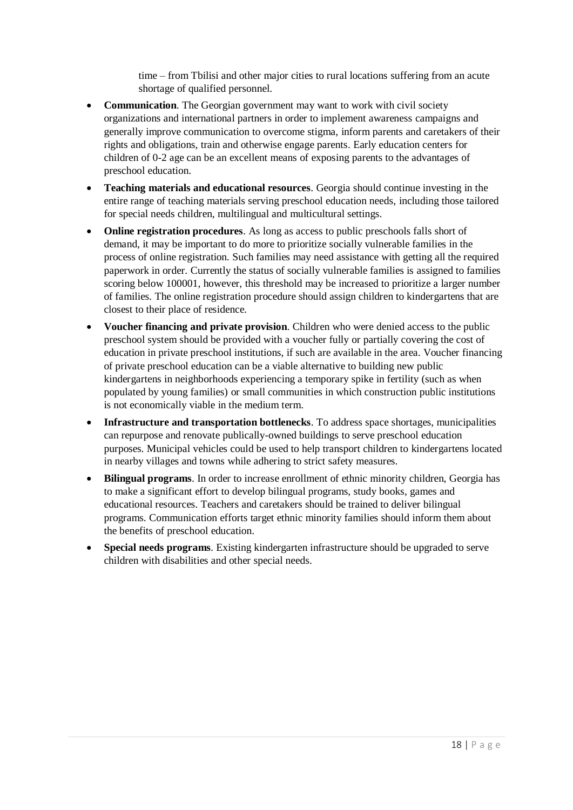time – from Tbilisi and other major cities to rural locations suffering from an acute shortage of qualified personnel.

- **Communication**. The Georgian government may want to work with civil society organizations and international partners in order to implement awareness campaigns and generally improve communication to overcome stigma, inform parents and caretakers of their rights and obligations, train and otherwise engage parents. Early education centers for children of 0-2 age can be an excellent means of exposing parents to the advantages of preschool education.
- **Teaching materials and educational resources**. Georgia should continue investing in the entire range of teaching materials serving preschool education needs, including those tailored for special needs children, multilingual and multicultural settings.
- **Online registration procedures**. As long as access to public preschools falls short of demand, it may be important to do more to prioritize socially vulnerable families in the process of online registration. Such families may need assistance with getting all the required paperwork in order. Currently the status of socially vulnerable families is assigned to families scoring below 100001, however, this threshold may be increased to prioritize a larger number of families. The online registration procedure should assign children to kindergartens that are closest to their place of residence.
- **Voucher financing and private provision**. Children who were denied access to the public preschool system should be provided with a voucher fully or partially covering the cost of education in private preschool institutions, if such are available in the area. Voucher financing of private preschool education can be a viable alternative to building new public kindergartens in neighborhoods experiencing a temporary spike in fertility (such as when populated by young families) or small communities in which construction public institutions is not economically viable in the medium term.
- **Infrastructure and transportation bottlenecks**. To address space shortages, municipalities can repurpose and renovate publically-owned buildings to serve preschool education purposes. Municipal vehicles could be used to help transport children to kindergartens located in nearby villages and towns while adhering to strict safety measures.
- **Bilingual programs**. In order to increase enrollment of ethnic minority children, Georgia has to make a significant effort to develop bilingual programs, study books, games and educational resources. Teachers and caretakers should be trained to deliver bilingual programs. Communication efforts target ethnic minority families should inform them about the benefits of preschool education.
- **Special needs programs**. Existing kindergarten infrastructure should be upgraded to serve children with disabilities and other special needs.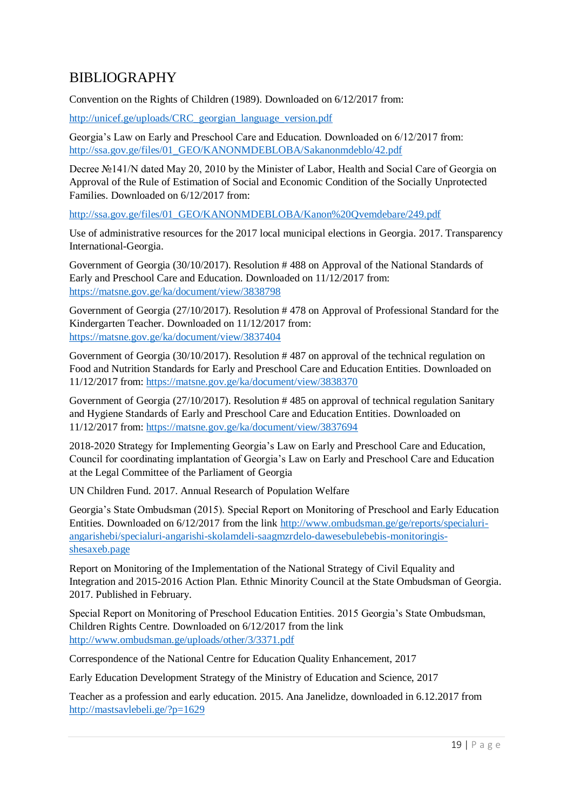## <span id="page-18-0"></span>BIBLIOGRAPHY

Convention on the Rights of Children (1989). Downloaded on 6/12/2017 from:

[http://unicef.ge/uploads/CRC\\_georgian\\_language\\_version.pdf](http://unicef.ge/uploads/CRC_georgian_language_version.pdf)

Georgia's Law on Early and Preschool Care and Education. Downloaded on 6/12/2017 from: [http://ssa.gov.ge/files/01\\_GEO/KANONMDEBLOBA/Sakanonmdeblo/42.pdf](http://ssa.gov.ge/files/01_GEO/KANONMDEBLOBA/Sakanonmdeblo/42.pdf)

Decree №141/N dated May 20, 2010 by the Minister of Labor, Health and Social Care of Georgia on Approval of the Rule of Estimation of Social and Economic Condition of the Socially Unprotected Families. Downloaded on 6/12/2017 from:

[http://ssa.gov.ge/files/01\\_GEO/KANONMDEBLOBA/Kanon%20Qvemdebare/249.pdf](http://ssa.gov.ge/files/01_GEO/KANONMDEBLOBA/Kanon%20Qvemdebare/249.pdf)

Use of administrative resources for the 2017 local municipal elections in Georgia. 2017. Transparency International-Georgia.

Government of Georgia (30/10/2017). Resolution # 488 on Approval of the National Standards of Early and Preschool Care and Education. Downloaded on 11/12/2017 from: <https://matsne.gov.ge/ka/document/view/3838798>

Government of Georgia (27/10/2017). Resolution # 478 on Approval of Professional Standard for the Kindergarten Teacher. Downloaded on 11/12/2017 from: <https://matsne.gov.ge/ka/document/view/3837404>

Government of Georgia (30/10/2017). Resolution # 487 on approval of the technical regulation on Food and Nutrition Standards for Early and Preschool Care and Education Entities. Downloaded on 11/12/2017 from: <https://matsne.gov.ge/ka/document/view/3838370>

Government of Georgia (27/10/2017). Resolution # 485 on approval of technical regulation Sanitary and Hygiene Standards of Early and Preschool Care and Education Entities. Downloaded on 11/12/2017 from:<https://matsne.gov.ge/ka/document/view/3837694>

2018-2020 Strategy for Implementing Georgia's Law on Early and Preschool Care and Education, Council for coordinating implantation of Georgia's Law on Early and Preschool Care and Education at the Legal Committee of the Parliament of Georgia

UN Children Fund. 2017. Annual Research of Population Welfare

Georgia's State Ombudsman (2015). Special Report on Monitoring of Preschool and Early Education Entities. Downloaded on 6/12/2017 from the link [http://www.ombudsman.ge/ge/reports/specialuri](http://www.ombudsman.ge/ge/reports/specialuri-angarishebi/specialuri-angarishi-skolamdeli-saagmzrdelo-dawesebulebebis-monitoringis-shesaxeb.page)[angarishebi/specialuri-angarishi-skolamdeli-saagmzrdelo-dawesebulebebis-monitoringis](http://www.ombudsman.ge/ge/reports/specialuri-angarishebi/specialuri-angarishi-skolamdeli-saagmzrdelo-dawesebulebebis-monitoringis-shesaxeb.page)[shesaxeb.page](http://www.ombudsman.ge/ge/reports/specialuri-angarishebi/specialuri-angarishi-skolamdeli-saagmzrdelo-dawesebulebebis-monitoringis-shesaxeb.page)

Report on Monitoring of the Implementation of the National Strategy of Civil Equality and Integration and 2015-2016 Action Plan. Ethnic Minority Council at the State Ombudsman of Georgia. 2017. Published in February.

Special Report on Monitoring of Preschool Education Entities. 2015 Georgia's State Ombudsman, Children Rights Centre. Downloaded on 6/12/2017 from the link <http://www.ombudsman.ge/uploads/other/3/3371.pdf>

Correspondence of the National Centre for Education Quality Enhancement, 2017

Early Education Development Strategy of the Ministry of Education and Science, 2017

Teacher as a profession and early education. 2015. Ana Janelidze, downloaded in 6.12.2017 from <http://mastsavlebeli.ge/?p=1629>